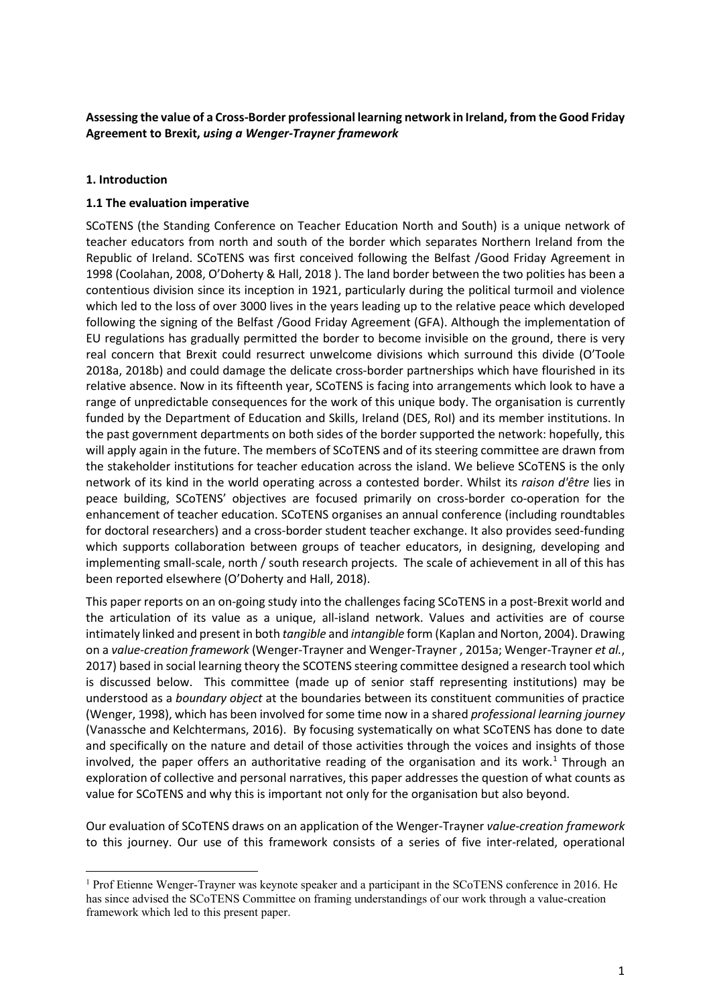## **Assessing the value of a Cross-Border professional learning network in Ireland, from the Good Friday Agreement to Brexit,** *using a Wenger-Trayner framework*

### **1. Introduction**

### **1.1 The evaluation imperative**

SCoTENS (the Standing Conference on Teacher Education North and South) is a unique network of teacher educators from north and south of the border which separates Northern Ireland from the Republic of Ireland. SCoTENS was first conceived following the Belfast /Good Friday Agreement in 1998 (Coolahan, 2008, O'Doherty & Hall, 2018 ). The land border between the two polities has been a contentious division since its inception in 1921, particularly during the political turmoil and violence which led to the loss of over 3000 lives in the years leading up to the relative peace which developed following the signing of the Belfast /Good Friday Agreement (GFA). Although the implementation of EU regulations has gradually permitted the border to become invisible on the ground, there is very real concern that Brexit could resurrect unwelcome divisions which surround this divide (O'Toole 2018a, 2018b) and could damage the delicate cross-border partnerships which have flourished in its relative absence. Now in its fifteenth year, SCoTENS is facing into arrangements which look to have a range of unpredictable consequences for the work of this unique body. The organisation is currently funded by the Department of Education and Skills, Ireland (DES, RoI) and its member institutions. In the past government departments on both sides of the border supported the network: hopefully, this will apply again in the future. The members of SCoTENS and of its steering committee are drawn from the stakeholder institutions for teacher education across the island. We believe SCoTENS is the only network of its kind in the world operating across a contested border. Whilst its *raison d'être* lies in peace building, SCoTENS' objectives are focused primarily on cross-border co-operation for the enhancement of teacher education. SCoTENS organises an annual conference (including roundtables for doctoral researchers) and a cross-border student teacher exchange. It also provides seed-funding which supports collaboration between groups of teacher educators, in designing, developing and implementing small-scale, north / south research projects. The scale of achievement in all of this has been reported elsewhere (O'Doherty and Hall, 2018).

This paper reports on an on-going study into the challenges facing SCoTENS in a post-Brexit world and the articulation of its value as a unique, all-island network. Values and activities are of course intimately linked and present in both *tangible* and *intangible* form (Kaplan and Norton, 2004). Drawing on a *value-creation framework* (Wenger-Trayner and Wenger-Trayner , 2015a; Wenger-Trayner *et al.*, 2017) based in social learning theory the SCOTENS steering committee designed a research tool which is discussed below. This committee (made up of senior staff representing institutions) may be understood as a *boundary object* at the boundaries between its constituent communities of practice (Wenger, 1998), which has been involved for some time now in a shared *professional learning journey* (Vanassche and Kelchtermans, 2016). By focusing systematically on what SCoTENS has done to date and specifically on the nature and detail of those activities through the voices and insights of those involved, the paper offers an authoritative reading of the organisation and its work.<sup>[1](#page-0-0)</sup> Through an exploration of collective and personal narratives, this paper addresses the question of what counts as value for SCoTENS and why this is important not only for the organisation but also beyond.

Our evaluation of SCoTENS draws on an application of the Wenger-Trayner *value-creation framework* to this journey. Our use of this framework consists of a series of five inter-related, operational

<span id="page-0-0"></span><sup>1</sup> Prof Etienne Wenger-Trayner was keynote speaker and a participant in the SCoTENS conference in 2016. He has since advised the SCoTENS Committee on framing understandings of our work through a value-creation framework which led to this present paper.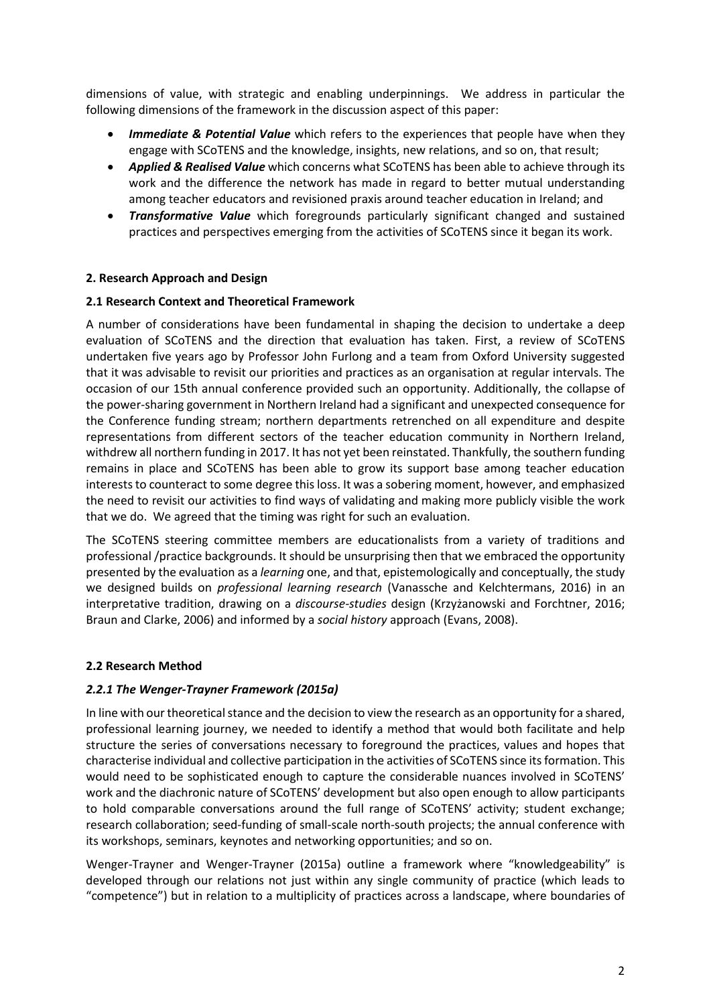dimensions of value, with strategic and enabling underpinnings. We address in particular the following dimensions of the framework in the discussion aspect of this paper:

- *Immediate & Potential Value* which refers to the experiences that people have when they engage with SCoTENS and the knowledge, insights, new relations, and so on, that result;
- *Applied & Realised Value* which concerns what SCoTENS has been able to achieve through its work and the difference the network has made in regard to better mutual understanding among teacher educators and revisioned praxis around teacher education in Ireland; and
- *Transformative Value* which foregrounds particularly significant changed and sustained practices and perspectives emerging from the activities of SCoTENS since it began its work.

## **2. Research Approach and Design**

#### **2.1 Research Context and Theoretical Framework**

A number of considerations have been fundamental in shaping the decision to undertake a deep evaluation of SCoTENS and the direction that evaluation has taken. First, a review of SCoTENS undertaken five years ago by Professor John Furlong and a team from Oxford University suggested that it was advisable to revisit our priorities and practices as an organisation at regular intervals. The occasion of our 15th annual conference provided such an opportunity. Additionally, the collapse of the power-sharing government in Northern Ireland had a significant and unexpected consequence for the Conference funding stream; northern departments retrenched on all expenditure and despite representations from different sectors of the teacher education community in Northern Ireland, withdrew all northern funding in 2017. It has not yet been reinstated. Thankfully, the southern funding remains in place and SCoTENS has been able to grow its support base among teacher education interests to counteract to some degree this loss. It was a sobering moment, however, and emphasized the need to revisit our activities to find ways of validating and making more publicly visible the work that we do. We agreed that the timing was right for such an evaluation.

The SCoTENS steering committee members are educationalists from a variety of traditions and professional /practice backgrounds. It should be unsurprising then that we embraced the opportunity presented by the evaluation as a *learning* one, and that, epistemologically and conceptually, the study we designed builds on *professional learning research* (Vanassche and Kelchtermans, 2016) in an interpretative tradition, drawing on a *discourse-studies* design (Krzyżanowski and Forchtner, 2016; Braun and Clarke, 2006) and informed by a *social history* approach (Evans, 2008).

#### **2.2 Research Method**

## *2.2.1 The Wenger-Trayner Framework (2015a)*

In line with our theoretical stance and the decision to view the research as an opportunity for a shared, professional learning journey, we needed to identify a method that would both facilitate and help structure the series of conversations necessary to foreground the practices, values and hopes that characterise individual and collective participation in the activities of SCoTENS since its formation. This would need to be sophisticated enough to capture the considerable nuances involved in SCoTENS' work and the diachronic nature of SCoTENS' development but also open enough to allow participants to hold comparable conversations around the full range of SCoTENS' activity; student exchange; research collaboration; seed-funding of small-scale north-south projects; the annual conference with its workshops, seminars, keynotes and networking opportunities; and so on.

Wenger-Trayner and Wenger-Trayner (2015a) outline a framework where "knowledgeability" is developed through our relations not just within any single community of practice (which leads to "competence") but in relation to a multiplicity of practices across a landscape, where boundaries of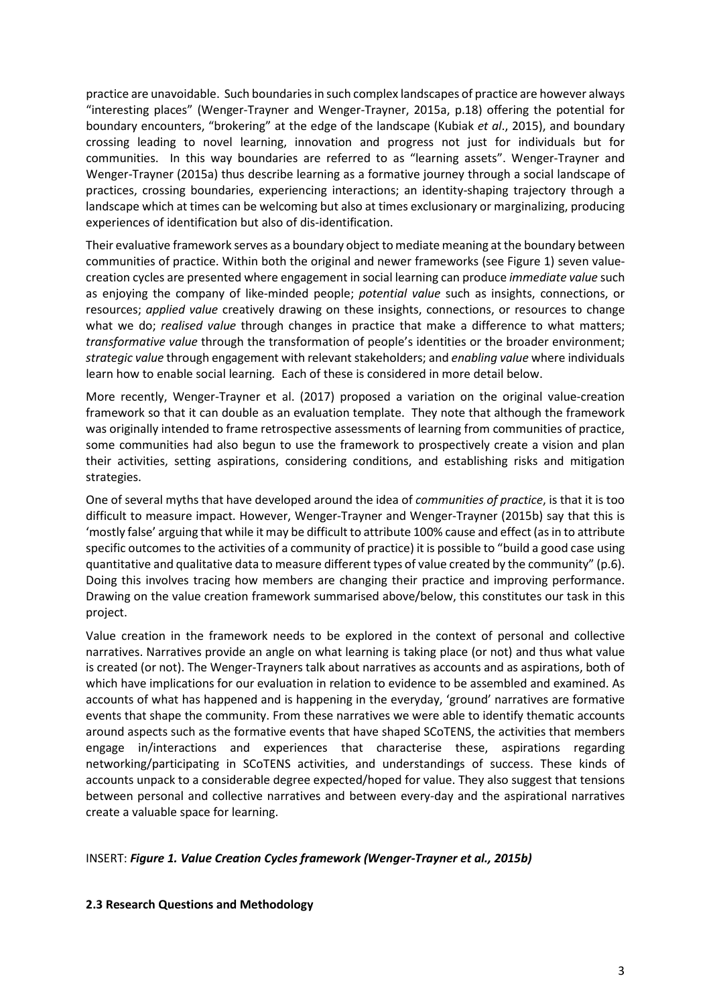practice are unavoidable. Such boundaries in such complex landscapes of practice are however always "interesting places" (Wenger-Trayner and Wenger-Trayner, 2015a, p.18) offering the potential for boundary encounters, "brokering" at the edge of the landscape (Kubiak *et al*., 2015), and boundary crossing leading to novel learning, innovation and progress not just for individuals but for communities. In this way boundaries are referred to as "learning assets". Wenger-Trayner and Wenger-Trayner (2015a) thus describe learning as a formative journey through a social landscape of practices, crossing boundaries, experiencing interactions; an identity-shaping trajectory through a landscape which at times can be welcoming but also at times exclusionary or marginalizing, producing experiences of identification but also of dis-identification.

Their evaluative framework serves as a boundary object to mediate meaning at the boundary between communities of practice. Within both the original and newer frameworks (see Figure 1) seven valuecreation cycles are presented where engagement in social learning can produce *immediate value* such as enjoying the company of like-minded people; *potential value* such as insights, connections, or resources; *applied value* creatively drawing on these insights, connections, or resources to change what we do; *realised value* through changes in practice that make a difference to what matters; *transformative value* through the transformation of people's identities or the broader environment; *strategic value* through engagement with relevant stakeholders; and *enabling value* where individuals learn how to enable social learning*.* Each of these is considered in more detail below.

More recently, Wenger-Trayner et al. (2017) proposed a variation on the original value-creation framework so that it can double as an evaluation template. They note that although the framework was originally intended to frame retrospective assessments of learning from communities of practice, some communities had also begun to use the framework to prospectively create a vision and plan their activities, setting aspirations, considering conditions, and establishing risks and mitigation strategies.

One of several myths that have developed around the idea of *communities of practice*, is that it is too difficult to measure impact. However, Wenger-Trayner and Wenger-Trayner (2015b) say that this is 'mostly false' arguing that while it may be difficult to attribute 100% cause and effect (as in to attribute specific outcomes to the activities of a community of practice) it is possible to "build a good case using quantitative and qualitative data to measure different types of value created by the community" (p.6). Doing this involves tracing how members are changing their practice and improving performance. Drawing on the value creation framework summarised above/below, this constitutes our task in this project.

Value creation in the framework needs to be explored in the context of personal and collective narratives. Narratives provide an angle on what learning is taking place (or not) and thus what value is created (or not). The Wenger-Trayners talk about narratives as accounts and as aspirations, both of which have implications for our evaluation in relation to evidence to be assembled and examined. As accounts of what has happened and is happening in the everyday, 'ground' narratives are formative events that shape the community. From these narratives we were able to identify thematic accounts around aspects such as the formative events that have shaped SCoTENS, the activities that members engage in/interactions and experiences that characterise these, aspirations regarding networking/participating in SCoTENS activities, and understandings of success. These kinds of accounts unpack to a considerable degree expected/hoped for value. They also suggest that tensions between personal and collective narratives and between every-day and the aspirational narratives create a valuable space for learning.

#### INSERT: *Figure 1. Value Creation Cycles framework (Wenger-Trayner et al., 2015b)*

#### **2.3 Research Questions and Methodology**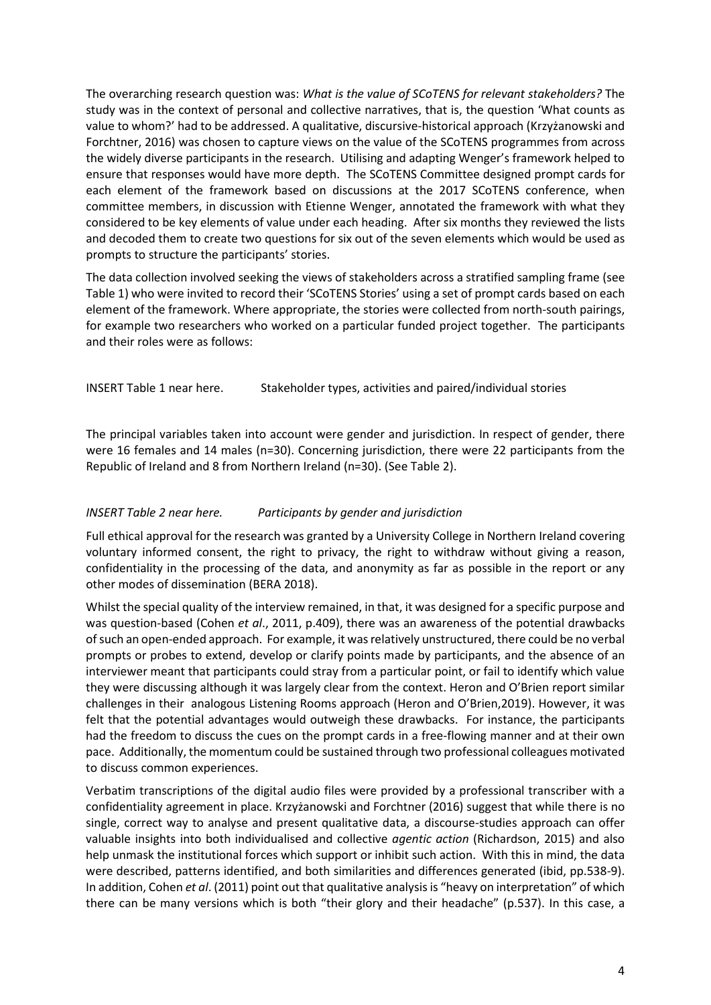The overarching research question was: *What is the value of SCoTENS for relevant stakeholders?* The study was in the context of personal and collective narratives, that is, the question 'What counts as value to whom?' had to be addressed. A qualitative, discursive-historical approach (Krzyżanowski and Forchtner, 2016) was chosen to capture views on the value of the SCoTENS programmes from across the widely diverse participants in the research. Utilising and adapting Wenger's framework helped to ensure that responses would have more depth. The SCoTENS Committee designed prompt cards for each element of the framework based on discussions at the 2017 SCoTENS conference, when committee members, in discussion with Etienne Wenger, annotated the framework with what they considered to be key elements of value under each heading. After six months they reviewed the lists and decoded them to create two questions for six out of the seven elements which would be used as prompts to structure the participants' stories.

The data collection involved seeking the views of stakeholders across a stratified sampling frame (see Table 1) who were invited to record their 'SCoTENS Stories' using a set of prompt cards based on each element of the framework. Where appropriate, the stories were collected from north-south pairings, for example two researchers who worked on a particular funded project together. The participants and their roles were as follows:

INSERT Table 1 near here. Stakeholder types, activities and paired/individual stories

The principal variables taken into account were gender and jurisdiction. In respect of gender, there were 16 females and 14 males (n=30). Concerning jurisdiction, there were 22 participants from the Republic of Ireland and 8 from Northern Ireland (n=30). (See Table 2).

#### *INSERT Table 2 near here. Participants by gender and jurisdiction*

Full ethical approval for the research was granted by a University College in Northern Ireland covering voluntary informed consent, the right to privacy, the right to withdraw without giving a reason, confidentiality in the processing of the data, and anonymity as far as possible in the report or any other modes of dissemination (BERA 2018).

Whilst the special quality of the interview remained, in that, it was designed for a specific purpose and was question-based (Cohen *et al*., 2011, p.409), there was an awareness of the potential drawbacks of such an open-ended approach. For example, it was relatively unstructured, there could be no verbal prompts or probes to extend, develop or clarify points made by participants, and the absence of an interviewer meant that participants could stray from a particular point, or fail to identify which value they were discussing although it was largely clear from the context. Heron and O'Brien report similar challenges in their analogous Listening Rooms approach (Heron and O'Brien,2019). However, it was felt that the potential advantages would outweigh these drawbacks. For instance, the participants had the freedom to discuss the cues on the prompt cards in a free-flowing manner and at their own pace. Additionally, the momentum could be sustained through two professional colleagues motivated to discuss common experiences.

Verbatim transcriptions of the digital audio files were provided by a professional transcriber with a confidentiality agreement in place. Krzyżanowski and Forchtner (2016) suggest that while there is no single, correct way to analyse and present qualitative data, a discourse-studies approach can offer valuable insights into both individualised and collective *agentic action* (Richardson, 2015) and also help unmask the institutional forces which support or inhibit such action. With this in mind, the data were described, patterns identified, and both similarities and differences generated (ibid, pp.538-9). In addition, Cohen *et al*. (2011) point out that qualitative analysis is "heavy on interpretation" of which there can be many versions which is both "their glory and their headache" (p.537). In this case, a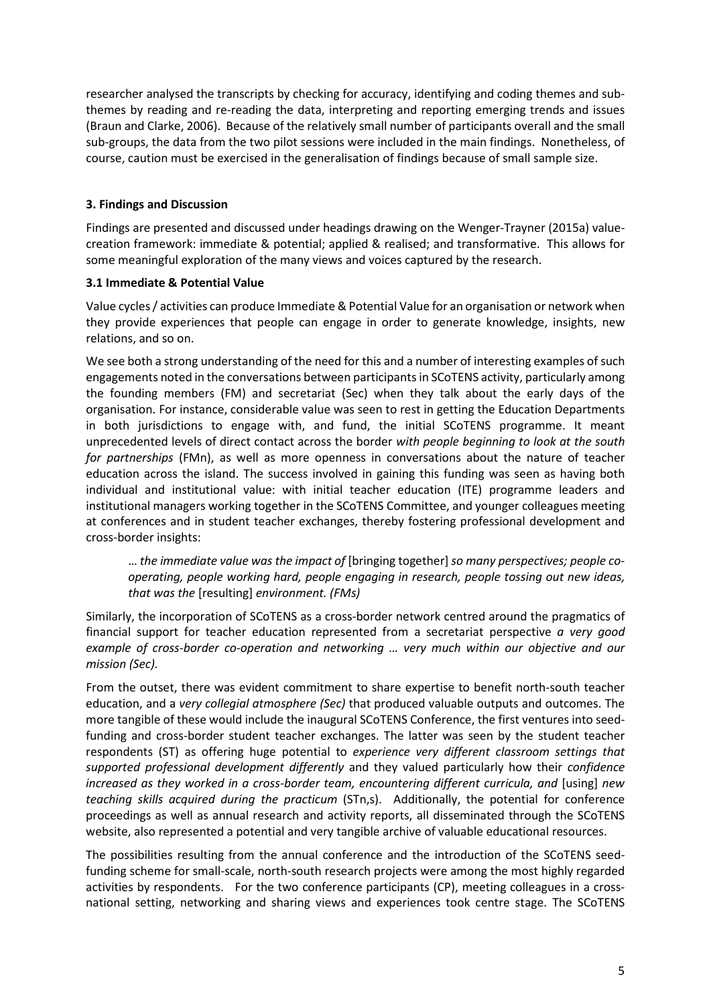researcher analysed the transcripts by checking for accuracy, identifying and coding themes and subthemes by reading and re-reading the data, interpreting and reporting emerging trends and issues (Braun and Clarke, 2006). Because of the relatively small number of participants overall and the small sub-groups, the data from the two pilot sessions were included in the main findings. Nonetheless, of course, caution must be exercised in the generalisation of findings because of small sample size.

# **3. Findings and Discussion**

Findings are presented and discussed under headings drawing on the Wenger-Trayner (2015a) valuecreation framework: immediate & potential; applied & realised; and transformative. This allows for some meaningful exploration of the many views and voices captured by the research.

# **3.1 Immediate & Potential Value**

Value cycles / activities can produce Immediate & Potential Value for an organisation or network when they provide experiences that people can engage in order to generate knowledge, insights, new relations, and so on.

We see both a strong understanding of the need for this and a number of interesting examples of such engagements noted in the conversations between participants in SCoTENS activity, particularly among the founding members (FM) and secretariat (Sec) when they talk about the early days of the organisation. For instance, considerable value was seen to rest in getting the Education Departments in both jurisdictions to engage with, and fund, the initial SCoTENS programme. It meant unprecedented levels of direct contact across the border *with people beginning to look at the south for partnerships* (FMn), as well as more openness in conversations about the nature of teacher education across the island. The success involved in gaining this funding was seen as having both individual and institutional value: with initial teacher education (ITE) programme leaders and institutional managers working together in the SCoTENS Committee, and younger colleagues meeting at conferences and in student teacher exchanges, thereby fostering professional development and cross-border insights:

… *the immediate value was the impact of* [bringing together] *so many perspectives; people cooperating, people working hard, people engaging in research, people tossing out new ideas, that was the* [resulting] *environment. (FMs)* 

Similarly, the incorporation of SCoTENS as a cross-border network centred around the pragmatics of financial support for teacher education represented from a secretariat perspective *a very good example of cross-border co-operation and networking … very much within our objective and our mission (Sec).* 

From the outset, there was evident commitment to share expertise to benefit north-south teacher education, and a *very collegial atmosphere (Sec)* that produced valuable outputs and outcomes. The more tangible of these would include the inaugural SCoTENS Conference, the first ventures into seedfunding and cross-border student teacher exchanges. The latter was seen by the student teacher respondents (ST) as offering huge potential to *experience very different classroom settings that supported professional development differently* and they valued particularly how their *confidence increased as they worked in a cross-border team, encountering different curricula, and [using] new teaching skills acquired during the practicum* (STn,s). Additionally, the potential for conference proceedings as well as annual research and activity reports, all disseminated through the SCoTENS website, also represented a potential and very tangible archive of valuable educational resources.

The possibilities resulting from the annual conference and the introduction of the SCoTENS seedfunding scheme for small-scale, north-south research projects were among the most highly regarded activities by respondents. For the two conference participants (CP), meeting colleagues in a crossnational setting, networking and sharing views and experiences took centre stage. The SCoTENS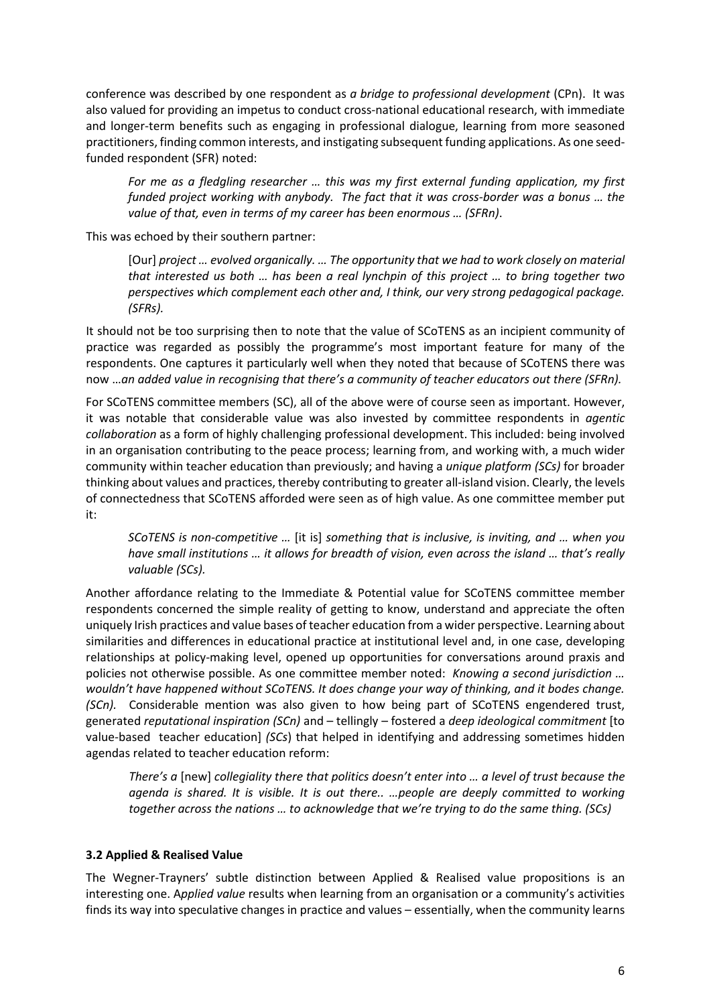conference was described by one respondent as *a bridge to professional development* (CPn). It was also valued for providing an impetus to conduct cross-national educational research, with immediate and longer-term benefits such as engaging in professional dialogue, learning from more seasoned practitioners, finding common interests, and instigating subsequent funding applications. As one seedfunded respondent (SFR) noted:

*For me as a fledgling researcher … this was my first external funding application, my first funded project working with anybody. The fact that it was cross-border was a bonus … the value of that, even in terms of my career has been enormous … (SFRn)*.

This was echoed by their southern partner:

[Our] *project … evolved organically. … The opportunity that we had to work closely on material that interested us both … has been a real lynchpin of this project … to bring together two perspectives which complement each other and, I think, our very strong pedagogical package. (SFRs).* 

It should not be too surprising then to note that the value of SCoTENS as an incipient community of practice was regarded as possibly the programme's most important feature for many of the respondents. One captures it particularly well when they noted that because of SCoTENS there was now …*an added value in recognising that there's a community of teacher educators out there (SFRn).*

For SCoTENS committee members (SC), all of the above were of course seen as important. However, it was notable that considerable value was also invested by committee respondents in *agentic collaboration* as a form of highly challenging professional development. This included: being involved in an organisation contributing to the peace process; learning from, and working with, a much wider community within teacher education than previously; and having a *unique platform (SCs)* for broader thinking about values and practices, thereby contributing to greater all-island vision. Clearly, the levels of connectedness that SCoTENS afforded were seen as of high value. As one committee member put it:

*SCoTENS is non-competitive …* [it is] *something that is inclusive, is inviting, and … when you have small institutions … it allows for breadth of vision, even across the island … that's really valuable (SCs).*

Another affordance relating to the Immediate & Potential value for SCoTENS committee member respondents concerned the simple reality of getting to know, understand and appreciate the often uniquely Irish practices and value bases of teacher education from a wider perspective. Learning about similarities and differences in educational practice at institutional level and, in one case, developing relationships at policy-making level, opened up opportunities for conversations around praxis and policies not otherwise possible. As one committee member noted: *Knowing a second jurisdiction … wouldn't have happened without SCoTENS. It does change your way of thinking, and it bodes change. (SCn).* Considerable mention was also given to how being part of SCoTENS engendered trust, generated *reputational inspiration (SCn)* and – tellingly – fostered a *deep ideological commitment* [to value-based teacher education] *(SCs*) that helped in identifying and addressing sometimes hidden agendas related to teacher education reform:

*There's a* [new] *collegiality there that politics doesn't enter into … a level of trust because the agenda is shared. It is visible. It is out there.. …people are deeply committed to working together across the nations … to acknowledge that we're trying to do the same thing. (SCs)* 

## **3.2 Applied & Realised Value**

The Wegner-Trayners' subtle distinction between Applied & Realised value propositions is an interesting one. A*pplied value* results when learning from an organisation or a community's activities finds its way into speculative changes in practice and values – essentially, when the community learns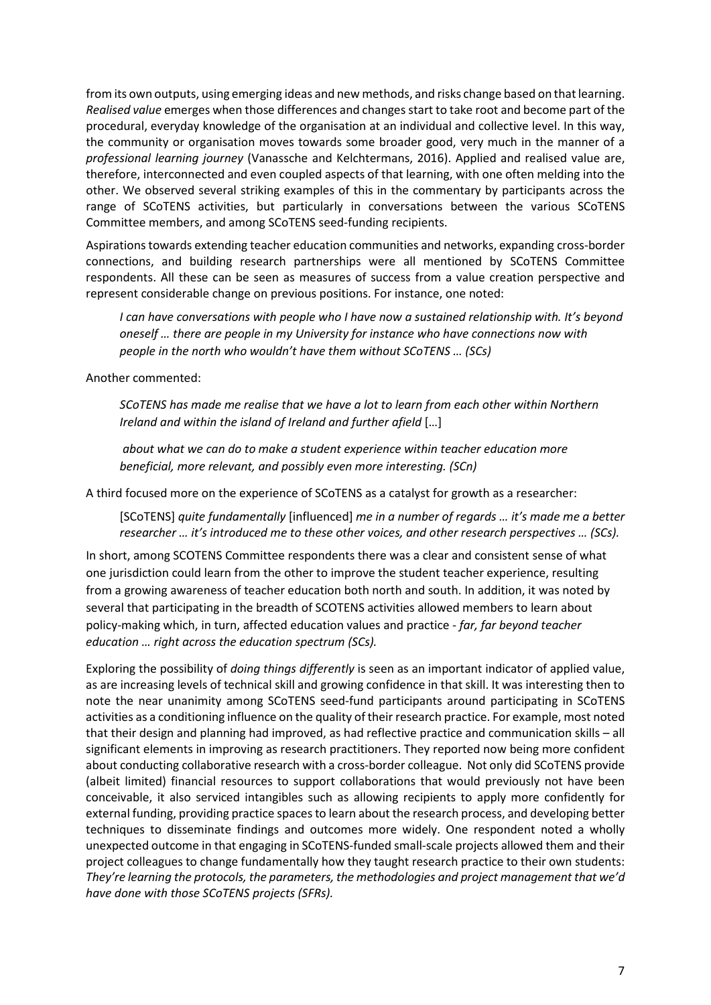from its own outputs, using emerging ideas and new methods, and risks change based on that learning. *Realised value* emerges when those differences and changes start to take root and become part of the procedural, everyday knowledge of the organisation at an individual and collective level. In this way, the community or organisation moves towards some broader good, very much in the manner of a *professional learning journey* (Vanassche and Kelchtermans, 2016). Applied and realised value are, therefore, interconnected and even coupled aspects of that learning, with one often melding into the other. We observed several striking examples of this in the commentary by participants across the range of SCoTENS activities, but particularly in conversations between the various SCoTENS Committee members, and among SCoTENS seed-funding recipients.

Aspirations towards extending teacher education communities and networks, expanding cross-border connections, and building research partnerships were all mentioned by SCoTENS Committee respondents. All these can be seen as measures of success from a value creation perspective and represent considerable change on previous positions. For instance, one noted:

*I can have conversations with people who I have now a sustained relationship with. It's beyond oneself … there are people in my University for instance who have connections now with people in the north who wouldn't have them without SCoTENS … (SCs)*

Another commented:

*SCoTENS has made me realise that we have a lot to learn from each other within Northern Ireland and within the island of Ireland and further afield* […]

*about what we can do to make a student experience within teacher education more beneficial, more relevant, and possibly even more interesting. (SCn)* 

A third focused more on the experience of SCoTENS as a catalyst for growth as a researcher:

[SCoTENS] *quite fundamentally* [influenced] *me in a number of regards … it's made me a better researcher … it's introduced me to these other voices, and other research perspectives … (SCs).* 

In short, among SCOTENS Committee respondents there was a clear and consistent sense of what one jurisdiction could learn from the other to improve the student teacher experience, resulting from a growing awareness of teacher education both north and south. In addition, it was noted by several that participating in the breadth of SCOTENS activities allowed members to learn about policy-making which, in turn, affected education values and practice - *far, far beyond teacher education … right across the education spectrum (SCs).*

Exploring the possibility of *doing things differently* is seen as an important indicator of applied value, as are increasing levels of technical skill and growing confidence in that skill. It was interesting then to note the near unanimity among SCoTENS seed-fund participants around participating in SCoTENS activities as a conditioning influence on the quality of their research practice. For example, most noted that their design and planning had improved, as had reflective practice and communication skills – all significant elements in improving as research practitioners. They reported now being more confident about conducting collaborative research with a cross-border colleague. Not only did SCoTENS provide (albeit limited) financial resources to support collaborations that would previously not have been conceivable, it also serviced intangibles such as allowing recipients to apply more confidently for external funding, providing practice spaces to learn about the research process, and developing better techniques to disseminate findings and outcomes more widely. One respondent noted a wholly unexpected outcome in that engaging in SCoTENS-funded small-scale projects allowed them and their project colleagues to change fundamentally how they taught research practice to their own students: *They're learning the protocols, the parameters, the methodologies and project management that we'd have done with those SCoTENS projects (SFRs).*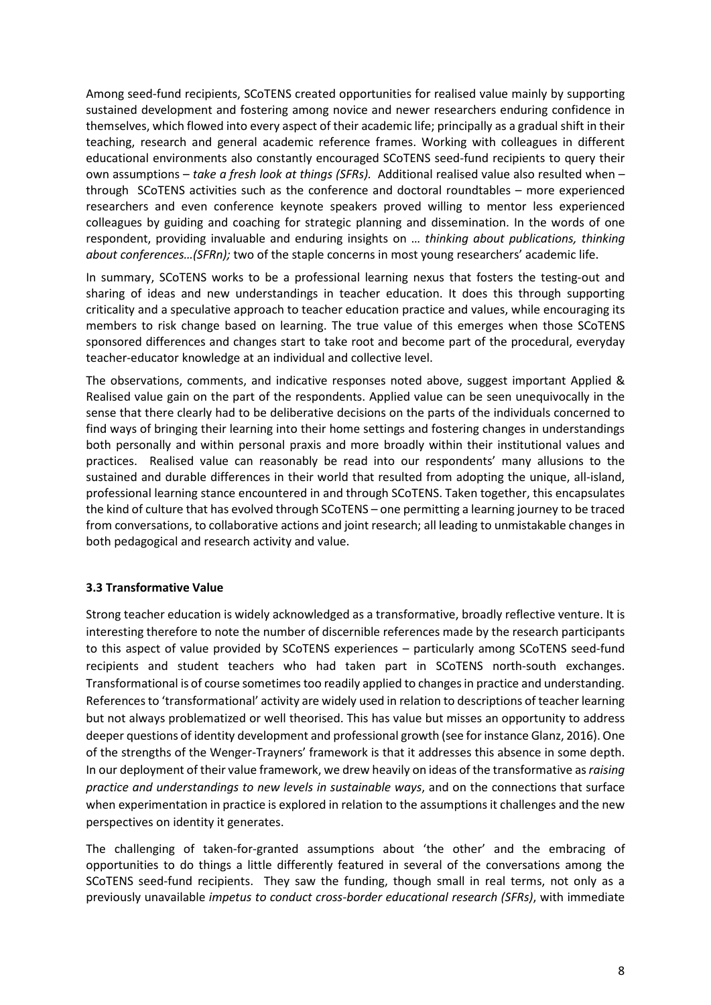Among seed-fund recipients, SCoTENS created opportunities for realised value mainly by supporting sustained development and fostering among novice and newer researchers enduring confidence in themselves, which flowed into every aspect of their academic life; principally as a gradual shift in their teaching, research and general academic reference frames. Working with colleagues in different educational environments also constantly encouraged SCoTENS seed-fund recipients to query their own assumptions – *take a fresh look at things (SFRs).* Additional realised value also resulted when – through SCoTENS activities such as the conference and doctoral roundtables – more experienced researchers and even conference keynote speakers proved willing to mentor less experienced colleagues by guiding and coaching for strategic planning and dissemination. In the words of one respondent, providing invaluable and enduring insights on … *thinking about publications, thinking about conferences…(SFRn);* two of the staple concerns in most young researchers' academic life.

In summary, SCoTENS works to be a professional learning nexus that fosters the testing-out and sharing of ideas and new understandings in teacher education. It does this through supporting criticality and a speculative approach to teacher education practice and values, while encouraging its members to risk change based on learning. The true value of this emerges when those SCoTENS sponsored differences and changes start to take root and become part of the procedural, everyday teacher-educator knowledge at an individual and collective level.

The observations, comments, and indicative responses noted above, suggest important Applied & Realised value gain on the part of the respondents. Applied value can be seen unequivocally in the sense that there clearly had to be deliberative decisions on the parts of the individuals concerned to find ways of bringing their learning into their home settings and fostering changes in understandings both personally and within personal praxis and more broadly within their institutional values and practices. Realised value can reasonably be read into our respondents' many allusions to the sustained and durable differences in their world that resulted from adopting the unique, all-island, professional learning stance encountered in and through SCoTENS. Taken together, this encapsulates the kind of culture that has evolved through SCoTENS – one permitting a learning journey to be traced from conversations, to collaborative actions and joint research; all leading to unmistakable changes in both pedagogical and research activity and value.

## **3.3 Transformative Value**

Strong teacher education is widely acknowledged as a transformative, broadly reflective venture. It is interesting therefore to note the number of discernible references made by the research participants to this aspect of value provided by SCoTENS experiences – particularly among SCoTENS seed-fund recipients and student teachers who had taken part in SCoTENS north-south exchanges. Transformational is of course sometimes too readily applied to changes in practice and understanding. References to 'transformational' activity are widely used in relation to descriptions of teacher learning but not always problematized or well theorised. This has value but misses an opportunity to address deeper questions of identity development and professional growth (see for instance Glanz, 2016). One of the strengths of the Wenger-Trayners' framework is that it addresses this absence in some depth. In our deployment of their value framework, we drew heavily on ideas of the transformative as *raising practice and understandings to new levels in sustainable ways*, and on the connections that surface when experimentation in practice is explored in relation to the assumptions it challenges and the new perspectives on identity it generates.

The challenging of taken-for-granted assumptions about 'the other' and the embracing of opportunities to do things a little differently featured in several of the conversations among the SCoTENS seed-fund recipients. They saw the funding, though small in real terms, not only as a previously unavailable *impetus to conduct cross-border educational research (SFRs)*, with immediate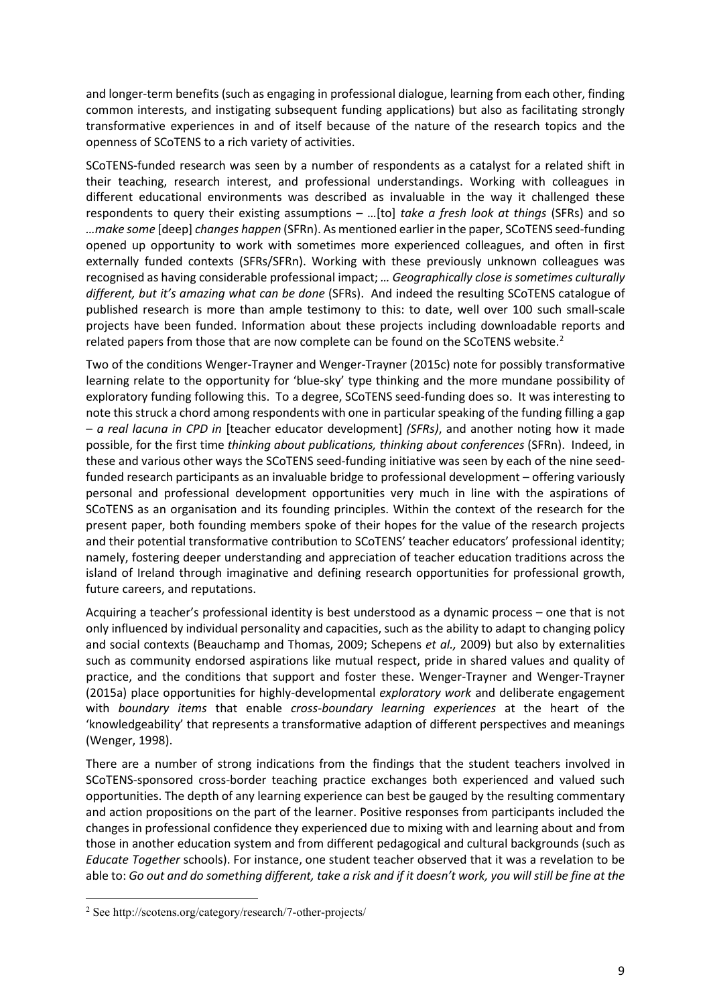and longer-term benefits (such as engaging in professional dialogue, learning from each other, finding common interests, and instigating subsequent funding applications) but also as facilitating strongly transformative experiences in and of itself because of the nature of the research topics and the openness of SCoTENS to a rich variety of activities.

SCoTENS-funded research was seen by a number of respondents as a catalyst for a related shift in their teaching, research interest, and professional understandings. Working with colleagues in different educational environments was described as invaluable in the way it challenged these respondents to query their existing assumptions – …[to] *take a fresh look at things* (SFRs) and so *…make some* [deep] *changes happen* (SFRn). As mentioned earlier in the paper, SCoTENS seed-funding opened up opportunity to work with sometimes more experienced colleagues, and often in first externally funded contexts (SFRs/SFRn). Working with these previously unknown colleagues was recognised as having considerable professional impact; *… Geographically close is sometimes culturally different, but it's amazing what can be done* (SFRs). And indeed the resulting SCoTENS catalogue of published research is more than ample testimony to this: to date, well over 100 such small-scale projects have been funded. Information about these projects including downloadable reports and related papers from those that are now complete can be found on the SCoTENS website.<sup>[2](#page-8-0)</sup>

Two of the conditions Wenger-Trayner and Wenger-Trayner (2015c) note for possibly transformative learning relate to the opportunity for 'blue-sky' type thinking and the more mundane possibility of exploratory funding following this. To a degree, SCoTENS seed-funding does so. It was interesting to note this struck a chord among respondents with one in particular speaking of the funding filling a gap – *a real lacuna in CPD in* [teacher educator development] *(SFRs)*, and another noting how it made possible, for the first time *thinking about publications, thinking about conferences* (SFRn). Indeed, in these and various other ways the SCoTENS seed-funding initiative was seen by each of the nine seedfunded research participants as an invaluable bridge to professional development – offering variously personal and professional development opportunities very much in line with the aspirations of SCoTENS as an organisation and its founding principles. Within the context of the research for the present paper, both founding members spoke of their hopes for the value of the research projects and their potential transformative contribution to SCoTENS' teacher educators' professional identity; namely, fostering deeper understanding and appreciation of teacher education traditions across the island of Ireland through imaginative and defining research opportunities for professional growth, future careers, and reputations.

Acquiring a teacher's professional identity is best understood as a dynamic process – one that is not only influenced by individual personality and capacities, such as the ability to adapt to changing policy and social contexts (Beauchamp and Thomas, 2009; Schepens *et al.,* 2009) but also by externalities such as community endorsed aspirations like mutual respect, pride in shared values and quality of practice, and the conditions that support and foster these. Wenger-Trayner and Wenger-Trayner (2015a) place opportunities for highly-developmental *exploratory work* and deliberate engagement with *boundary items* that enable *cross-boundary learning experiences* at the heart of the 'knowledgeability' that represents a transformative adaption of different perspectives and meanings (Wenger, 1998).

There are a number of strong indications from the findings that the student teachers involved in SCoTENS-sponsored cross-border teaching practice exchanges both experienced and valued such opportunities. The depth of any learning experience can best be gauged by the resulting commentary and action propositions on the part of the learner. Positive responses from participants included the changes in professional confidence they experienced due to mixing with and learning about and from those in another education system and from different pedagogical and cultural backgrounds (such as *Educate Together* schools). For instance, one student teacher observed that it was a revelation to be able to: *Go out and do something different, take a risk and if it doesn't work, you will still be fine at the*

<span id="page-8-0"></span><sup>2</sup> See http://scotens.org/category/research/7-other-projects/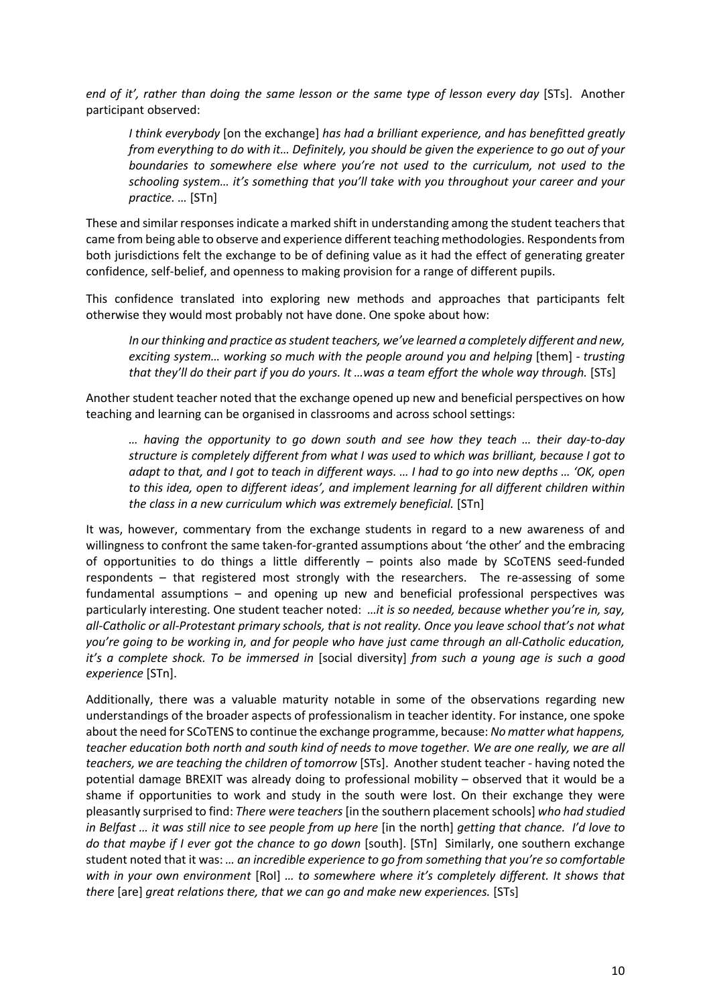*end of it', rather than doing the same lesson or the same type of lesson every day* [STs]. Another participant observed:

*I think everybody* [on the exchange] *has had a brilliant experience, and has benefitted greatly from everything to do with it… Definitely, you should be given the experience to go out of your boundaries to somewhere else where you're not used to the curriculum, not used to the schooling system… it's something that you'll take with you throughout your career and your practice. …* [STn]

These and similar responses indicate a marked shift in understanding among the student teachers that came from being able to observe and experience different teaching methodologies. Respondents from both jurisdictions felt the exchange to be of defining value as it had the effect of generating greater confidence, self-belief, and openness to making provision for a range of different pupils.

This confidence translated into exploring new methods and approaches that participants felt otherwise they would most probably not have done. One spoke about how:

*In our thinking and practice as student teachers, we've learned a completely different and new, exciting system... working so much with the people around you and helping [them] - trusting that they'll do their part if you do yours. It ... was a team effort the whole way through.* [STs]

Another student teacher noted that the exchange opened up new and beneficial perspectives on how teaching and learning can be organised in classrooms and across school settings:

*… having the opportunity to go down south and see how they teach … their day-to-day structure is completely different from what I was used to which was brilliant, because I got to adapt to that, and I got to teach in different ways. … I had to go into new depths … 'OK, open to this idea, open to different ideas', and implement learning for all different children within the class in a new curriculum which was extremely beneficial.* [STn]

It was, however, commentary from the exchange students in regard to a new awareness of and willingness to confront the same taken-for-granted assumptions about 'the other' and the embracing of opportunities to do things a little differently – points also made by SCoTENS seed-funded respondents – that registered most strongly with the researchers. The re-assessing of some fundamental assumptions – and opening up new and beneficial professional perspectives was particularly interesting. One student teacher noted: …*it is so needed, because whether you're in, say, all-Catholic or all-Protestant primary schools, that is not reality. Once you leave school that's not what you're going to be working in, and for people who have just came through an all-Catholic education, it's a complete shock. To be immersed in* [social diversity] *from such a young age is such a good experience* [STn].

Additionally, there was a valuable maturity notable in some of the observations regarding new understandings of the broader aspects of professionalism in teacher identity. For instance, one spoke about the need for SCoTENS to continue the exchange programme, because: *No matter what happens, teacher education both north and south kind of needs to move together. We are one really, we are all teachers, we are teaching the children of tomorrow* [STs]. Another student teacher - having noted the potential damage BREXIT was already doing to professional mobility – observed that it would be a shame if opportunities to work and study in the south were lost. On their exchange they were pleasantly surprised to find: *There were teachers* [in the southern placement schools] *who had studied in Belfast … it was still nice to see people from up here* [in the north] *getting that chance. I'd love to do that maybe if I ever got the chance to go down* [south]. [STn] Similarly, one southern exchange student noted that it was: *… an incredible experience to go from something that you're so comfortable with in your own environment* [RoI] *… to somewhere where it's completely different. It shows that there* [are] *great relations there, that we can go and make new experiences.* [STs]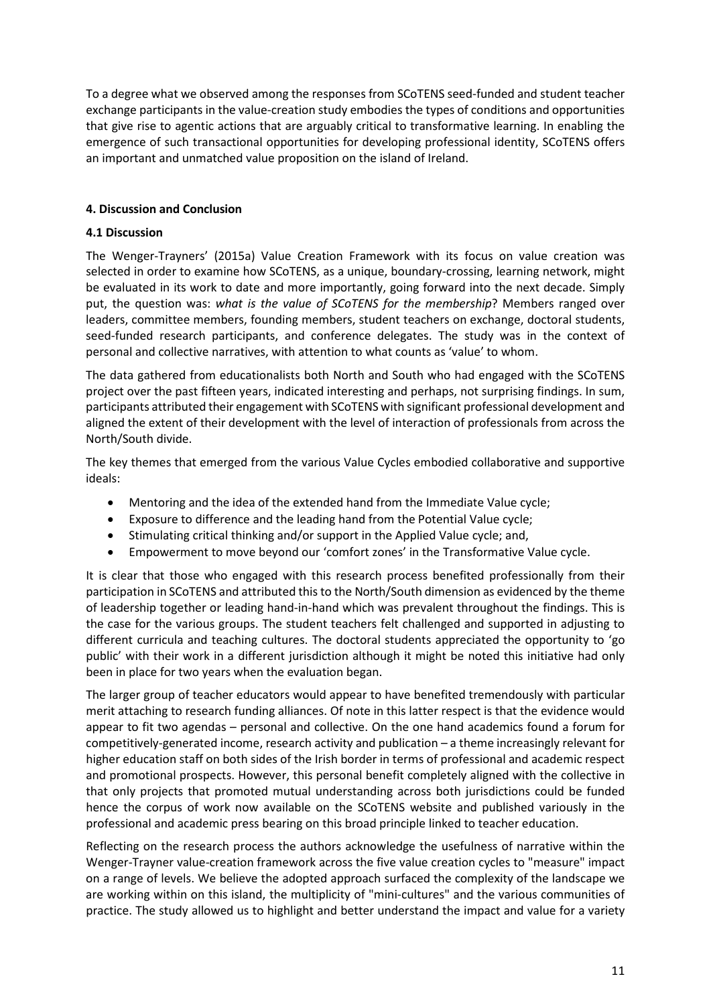To a degree what we observed among the responses from SCoTENS seed-funded and student teacher exchange participants in the value-creation study embodies the types of conditions and opportunities that give rise to agentic actions that are arguably critical to transformative learning. In enabling the emergence of such transactional opportunities for developing professional identity, SCoTENS offers an important and unmatched value proposition on the island of Ireland.

## **4. Discussion and Conclusion**

### **4.1 Discussion**

The Wenger-Trayners' (2015a) Value Creation Framework with its focus on value creation was selected in order to examine how SCoTENS, as a unique, boundary-crossing, learning network, might be evaluated in its work to date and more importantly, going forward into the next decade. Simply put, the question was: *what is the value of SCoTENS for the membership*? Members ranged over leaders, committee members, founding members, student teachers on exchange, doctoral students, seed-funded research participants, and conference delegates. The study was in the context of personal and collective narratives, with attention to what counts as 'value' to whom.

The data gathered from educationalists both North and South who had engaged with the SCoTENS project over the past fifteen years, indicated interesting and perhaps, not surprising findings. In sum, participants attributed their engagement with SCoTENS with significant professional development and aligned the extent of their development with the level of interaction of professionals from across the North/South divide.

The key themes that emerged from the various Value Cycles embodied collaborative and supportive ideals:

- Mentoring and the idea of the extended hand from the Immediate Value cycle;
- Exposure to difference and the leading hand from the Potential Value cycle;
- Stimulating critical thinking and/or support in the Applied Value cycle; and,
- Empowerment to move beyond our 'comfort zones' in the Transformative Value cycle.

It is clear that those who engaged with this research process benefited professionally from their participation in SCoTENS and attributed this to the North/South dimension as evidenced by the theme of leadership together or leading hand-in-hand which was prevalent throughout the findings. This is the case for the various groups. The student teachers felt challenged and supported in adjusting to different curricula and teaching cultures. The doctoral students appreciated the opportunity to 'go public' with their work in a different jurisdiction although it might be noted this initiative had only been in place for two years when the evaluation began.

The larger group of teacher educators would appear to have benefited tremendously with particular merit attaching to research funding alliances. Of note in this latter respect is that the evidence would appear to fit two agendas – personal and collective. On the one hand academics found a forum for competitively-generated income, research activity and publication – a theme increasingly relevant for higher education staff on both sides of the Irish border in terms of professional and academic respect and promotional prospects. However, this personal benefit completely aligned with the collective in that only projects that promoted mutual understanding across both jurisdictions could be funded hence the corpus of work now available on the SCoTENS website and published variously in the professional and academic press bearing on this broad principle linked to teacher education.

Reflecting on the research process the authors acknowledge the usefulness of narrative within the Wenger-Trayner value-creation framework across the five value creation cycles to "measure" impact on a range of levels. We believe the adopted approach surfaced the complexity of the landscape we are working within on this island, the multiplicity of "mini-cultures" and the various communities of practice. The study allowed us to highlight and better understand the impact and value for a variety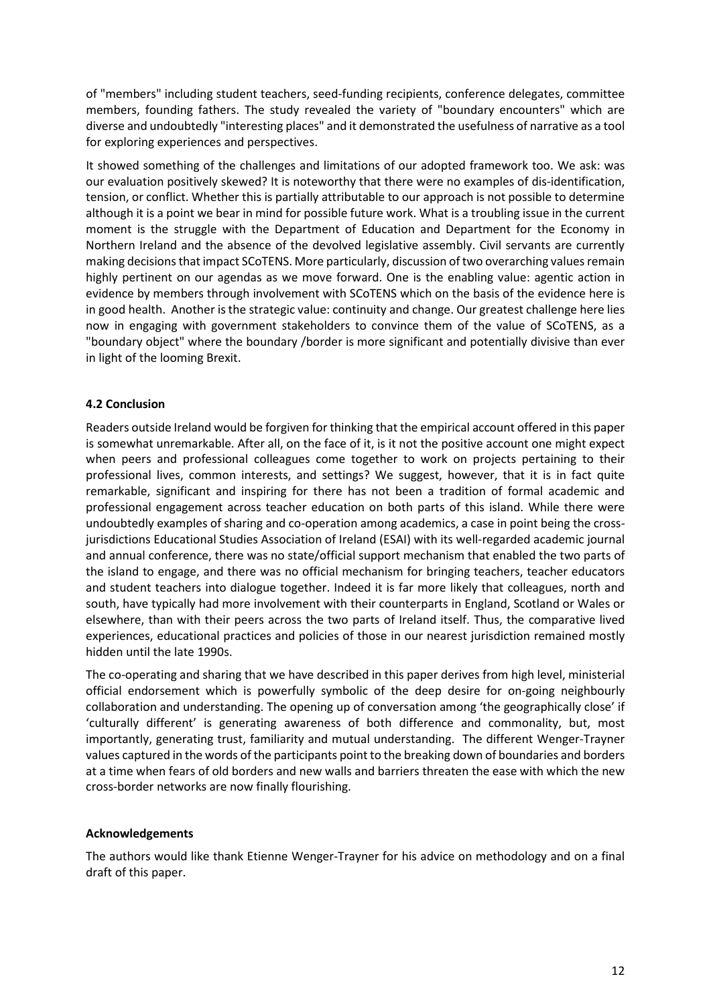of "members" including student teachers, seed-funding recipients, conference delegates, committee members, founding fathers. The study revealed the variety of "boundary encounters" which are diverse and undoubtedly "interesting places" and it demonstrated the usefulness of narrative as a tool for exploring experiences and perspectives.

It showed something of the challenges and limitations of our adopted framework too. We ask: was our evaluation positively skewed? It is noteworthy that there were no examples of dis-identification, tension, or conflict. Whether this is partially attributable to our approach is not possible to determine although it is a point we bear in mind for possible future work. What is a troubling issue in the current moment is the struggle with the Department of Education and Department for the Economy in Northern Ireland and the absence of the devolved legislative assembly. Civil servants are currently making decisions that impact SCoTENS. More particularly, discussion of two overarching values remain highly pertinent on our agendas as we move forward. One is the enabling value: agentic action in evidence by members through involvement with SCoTENS which on the basis of the evidence here is in good health. Another is the strategic value: continuity and change. Our greatest challenge here lies now in engaging with government stakeholders to convince them of the value of SCoTENS, as a "boundary object" where the boundary /border is more significant and potentially divisive than ever in light of the looming Brexit.

## **4.2 Conclusion**

Readers outside Ireland would be forgiven for thinking that the empirical account offered in this paper is somewhat unremarkable. After all, on the face of it, is it not the positive account one might expect when peers and professional colleagues come together to work on projects pertaining to their professional lives, common interests, and settings? We suggest, however, that it is in fact quite remarkable, significant and inspiring for there has not been a tradition of formal academic and professional engagement across teacher education on both parts of this island. While there were undoubtedly examples of sharing and co-operation among academics, a case in point being the crossjurisdictions Educational Studies Association of Ireland (ESAI) with its well-regarded academic journal and annual conference, there was no state/official support mechanism that enabled the two parts of the island to engage, and there was no official mechanism for bringing teachers, teacher educators and student teachers into dialogue together. Indeed it is far more likely that colleagues, north and south, have typically had more involvement with their counterparts in England, Scotland or Wales or elsewhere, than with their peers across the two parts of Ireland itself. Thus, the comparative lived experiences, educational practices and policies of those in our nearest jurisdiction remained mostly hidden until the late 1990s.

The co-operating and sharing that we have described in this paper derives from high level, ministerial official endorsement which is powerfully symbolic of the deep desire for on-going neighbourly collaboration and understanding. The opening up of conversation among 'the geographically close' if 'culturally different' is generating awareness of both difference and commonality, but, most importantly, generating trust, familiarity and mutual understanding. The different Wenger-Trayner values captured in the words of the participants point to the breaking down of boundaries and borders at a time when fears of old borders and new walls and barriers threaten the ease with which the new cross-border networks are now finally flourishing.

#### **Acknowledgements**

The authors would like thank Etienne Wenger-Trayner for his advice on methodology and on a final draft of this paper.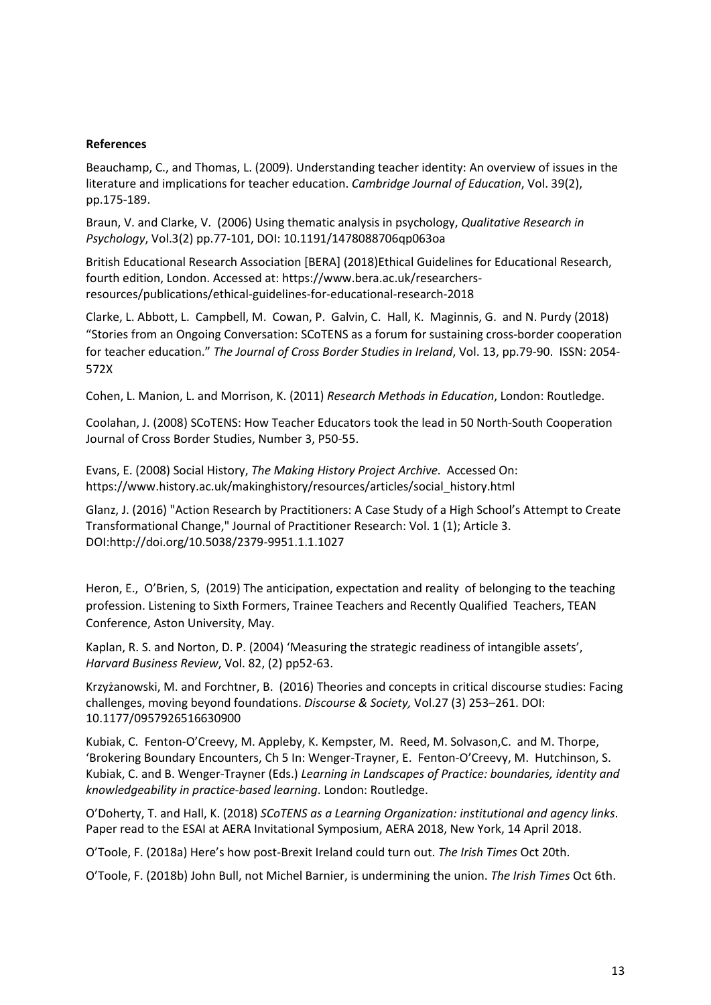#### **References**

Beauchamp, C., and Thomas, L. (2009). Understanding teacher identity: An overview of issues in the literature and implications for teacher education. *Cambridge Journal of Education*, Vol. 39(2), pp.175-189.

Braun, V. and Clarke, V. (2006) Using thematic analysis in psychology, *Qualitative Research in Psychology*, Vol.3(2) pp.77-101, DOI: 10.1191/1478088706qp063oa

British Educational Research Association [BERA] (2018)Ethical Guidelines for Educational Research, fourth edition, London. Accessed at: https://www.bera.ac.uk/researchersresources/publications/ethical-guidelines-for-educational-research-2018

Clarke, L. Abbott, L. Campbell, M. Cowan, P. Galvin, C. Hall, K. Maginnis, G. and N. Purdy (2018) "Stories from an Ongoing Conversation: SCoTENS as a forum for sustaining cross-border cooperation for teacher education." *The Journal of Cross Border Studies in Ireland*, Vol. 13, pp.79-90. ISSN: 2054- 572X

Cohen, L. Manion, L. and Morrison, K. (2011) *Research Methods in Education*, London: Routledge.

Coolahan, J. (2008) SCoTENS: How Teacher Educators took the lead in 50 North-South Cooperation Journal of Cross Border Studies, Number 3, P50-55.

Evans, E. (2008) Social History, *The Making History Project Archive.* Accessed On: https://www.history.ac.uk/makinghistory/resources/articles/social\_history.html

Glanz, J. (2016) "Action Research by Practitioners: A Case Study of a High School's Attempt to Create Transformational Change," Journal of Practitioner Research: Vol. 1 (1); Article 3. DOI:http://doi.org/10.5038/2379-9951.1.1.1027

Heron, E., O'Brien, S, (2019) The anticipation, expectation and reality of belonging to the teaching profession. Listening to Sixth Formers, Trainee Teachers and Recently Qualified Teachers, TEAN Conference, Aston University, May.

Kaplan, R. S. and Norton, D. P. (2004) 'Measuring the strategic readiness of intangible assets', *Harvard Business Review*, Vol. 82, (2) pp52-63.

Krzyżanowski, M. and Forchtner, B. (2016) Theories and concepts in critical discourse studies: Facing challenges, moving beyond foundations. *Discourse & Society,* Vol.27 (3) 253–261. DOI: 10.1177/0957926516630900

Kubiak, C. Fenton-O'Creevy, M. Appleby, K. Kempster, M. Reed, M. Solvason,C. and M. Thorpe, 'Brokering Boundary Encounters, Ch 5 In: Wenger-Trayner, E. Fenton-O'Creevy, M. Hutchinson, S. Kubiak, C. and B. Wenger-Trayner (Eds.) *Learning in Landscapes of Practice: boundaries, identity and knowledgeability in practice-based learning*. London: Routledge.

O'Doherty, T. and Hall, K. (2018) *SCoTENS as a Learning Organization: institutional and agency links*. Paper read to the ESAI at AERA Invitational Symposium, AERA 2018, New York, 14 April 2018.

O'Toole, F. (2018a) Here's how post-Brexit Ireland could turn out. *The Irish Times* Oct 20th.

O'Toole, F. (2018b) John Bull, not Michel Barnier, is undermining the union. *The Irish Times* Oct 6th.